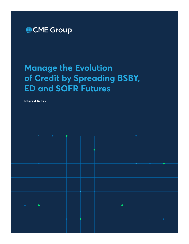

# **Manage the Evolution of Credit by Spreading BSBY, ED and SOFR Futures**

**Interest Rates**

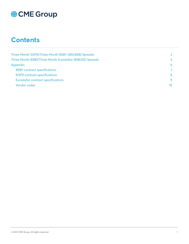### **Contents**

| Three-Month SOFR/Three-Month BSBY (SR3/BSB) Spreads      | 2  |
|----------------------------------------------------------|----|
| Three-Month BSBY/Three-Month Eurodollar (BSB/GE) Spreads | 5. |
| Appendix                                                 | 6  |
| <b>BSBY</b> contract specifications                      |    |
| <b>SOFR</b> contract specifications                      | 8  |
| Eurodollar contract specifications                       | 9  |
| Vendor codes                                             | 10 |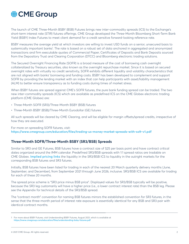<span id="page-2-0"></span>The launch of CME Three-Month BSBY (BSB) Futures brings new inter-commodity spreads (ICS) to the Exchange's short-term interest rate (STIR) futures offerings. CME Group developed the Three-Month Bloomberg Short-Term Bank Yield (BSBY) Index Futures to meet client demand for a credit sensitive forward-looking reference rate.

BSBY measures the average yield at which investors are willing to invest USD funds on a senior, unsecured basis to systemically important banks<sup>1</sup>. The rate is based on a robust set of data anchored in aggregated and anonymized transactions and firm executable quotes of Commercial Paper, Certificates of Deposits and Bank Deposits sourced from the Depository Trust and Clearing Corporation (DTCC) and Bloomberg electronic trading solutions.

The Secured Overnight Financing Rate (SOFR) is a broad measure of the cost of borrowing cash overnight collateralized by Treasury securities, also known as the overnight repurchase market. Since it is based on secured overnight rates with virtually no credit sensitivity, SOFR exhibits different liquidity and volatility characteristics that are not aligned with banks' borrowing and funding costs. BSBY has been developed to complement and support SOFR by providing the lending market with an index that can help participants with asset/liability management (ALM) to better ensure transparency as to funding costs during times of market stress.

When BSBY futures are spread against CME's SOFR futures, the pure bank funding spread can be traded. The two new inter-commodity spreads (ICS) which are available as predefined ICS on the CME Globex electronic trading platform (CME Globex) are:

- Three-Month SOFR (SR3)/Three-Month BSBY (BSB) futures
- Three-Month BSBY (BSB)/Three-Month Eurodollar (GE) futures

All such spreads will be cleared by CME Clearing, and will be eligible for margin offsets/spread credits, irrespective of how they are executed.

For more on spreading SOFR futures, visit: **https://www.cmegroup.com/education/files/trading-us-money-market-spreads-with-sofr-v1.pdf**

#### **Three-Month SOFR/Three-Month BSBY (SR3/BSB) Spreads**

Similar to SR3 and GE Futures, BSB futures have a contract size of \$25 per basis point and have contract critical dates organized around the IMM calendar. Predefined SR3/BSB spreads with 1:1 spread ratios are tradable on CME Globex. **[Implied pricing links](https://www.cmegroup.com/confluence/display/EPICSANDBOX/Implied+Orders+-+Examples)** the liquidity in the SR3/BSB ICS to liquidity in the outright markets for the corresponding BSB futures and SR3 futures.

Initially, BSB futures have been listed for trading in each of the nearest 20 March quarterly delivery months (June, September, and December), from September 2021 through June 2026, inclusive. SR3/BSB ICS are available for trading for each of these 20 months.

The spread price scheme is "SR3 price minus BSB price". Displayed values for SR3/BSB typically will be positive, because the SR3 leg customarily will have a higher price (i.e., a lower contract interest rate) than the BSB leg. Please see the Appendix for technical details of the SR3/BSB spread.

The "contract month" convention for naming BSB futures mirrors the established convention for SR3 futures, in the sense that the three-month period of interest rate exposure is essentially identical for any BSB and SR3 pair with identical contract months.

<sup>1</sup> For more about BSBY Futures, visit Understanding BSBY Futures, August 2021, which is available at **https://www.cmegroup.com/education/files/understanding-bsby-futures.pdf**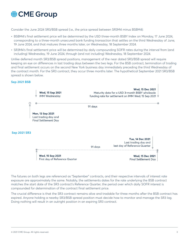Consider the June 2024 SR3/BSB spread (i.e., the price spread between SR3M4 minus BSBM4):

- BSBM4's final settlement price will be determined by the USD three-month BSBY Index on Monday, 17 June 2024, corresponding to a three-month unsecured bank funding transaction that settles on the third Wednesday of June, 19 June 2024, and that matures three months later, on Wednesday, 18 September 2024.
- SR3M4's final settlement price will be determined by daily compounding SOFR rates during the interval from (and including) Wednesday, 19 June 2024, through (and not including) Wednesday, 18 September 2024.

Unlike deferred month SR3/BSB spread positions, management of the near dated SR3/BSB spread will require keeping an eye on differences in last trading days between the two legs. For the BSB contract, termination of trading and final settlement occurs on the second New York business day immediately preceding the third Wednesday of the contract month. For the SR3 contract, they occur three months later. The hypothetical September 2021 SR3/BSB spread is shown below.

#### **Sep 2021 BSB**



The futures on both legs are referenced as "September" contracts, and their respective intervals of interest rate exposure are approximately the same. Notably, the settlements dates for the rate underlying the BSB contract matches the start date of the SR3 contract's Reference Quarter, the period over which daily SOFR interest is compounded for determination of the contract final settlement price.

The crucial difference is that the SR3 contract remains alive and tradable for three months after the BSB contract has expired. Anyone holding a nearby SR3/BSB spread position must decide how to monitor and manage the SR3 lag. Doing nothing will result in an outright position in an expiring SR3 contract.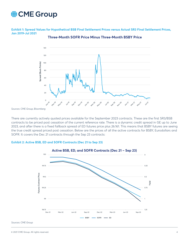**Exhibit 1: Spread Values for Hypothetical BSB Final Settlement Prices versus Actual SR3 Final Settlement Prices, Jan 2019-Jul 2021**



**Three-Month SOFR Price Minus Three-Month BSBY Price**

*Sources: CME Group, Bloomberg*

There are currently actively quoted prices available for the September 2023 contracts. These are the first SR3/BSB contracts to be priced post cessation of the current reference rate. There is a dynamic credit spread in GE up to June 2023, and after there is a fixed fallback spread of ED futures price plus 26.161. This means that BSBY futures are seeing the true credit spread priced post cessation. Below are the prices of all the active contracts for BSBY, Eurodollars and SOFR. It covers the Dec 21 contracts through the Sep 23 contracts:

#### **Exhibit 2: Active BSB, ED and SOFR Contracts (Dec 21 to Sep 23)**



*Sources: CME Group*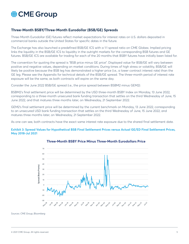#### <span id="page-5-0"></span>**Three-Month BSBY/Three-Month Eurodollar (BSB/GE) Spreads**

Three-Month Eurodollar (GE) futures reflect market expectations for interest rates on U.S. dollars deposited in commercial banks outside the United States for specific dates in the future.

The Exchange has also launched a predefined BSB/GE ICS with a 1:1 spread ratio on CME Globex. Implied pricing links the liquidity in the BSB/GE ICS to liquidity in the outright markets for the corresponding BSB futures and GE futures. BSB/GE ICS are available for trading for each of the 20 months that BSBY futures have initially been listed for.

The convention for quoting the spread is "BSB price minus GE price". Displayed value for BSB/GE will vary between positive and negative values, depending on market conditions. During times of high stress or volatility, BSB/GE will likely be positive because the BSB leg has demonstrated a higher price (i.e., a lower contract interest rate) than the GE leg. Please see the Appendix for technical details of the BSB/GE spread. The three-month period of interest rate exposure will be the same, as both contracts will expire on the same day.

Consider the June 2022 BSB/GE spread (i.e., the price spread between BSBM2 minus GEM2):

BSBM2's final settlement price will be determined by the USD three-month BSBY Index on Monday, 13 June 2022, corresponding to a three-month unsecured bank funding transaction that settles on the third Wednesday of June, 15 June 2022, and that matures three months later, on Wednesday, 21 September 2022.

GEM2's final settlement price will be determined by the current benchmark on Monday, 13 June 2022, corresponding to an unsecured USD bank funding transaction that settles on the third Wednesday of June, 15 June 2022, and matures three months later, on Wednesday, 21 September 2022.

As one can see, both contracts have the exact same interest rate exposure due to the shared final settlement date.

#### **Exhibit 3: Spread Values for Hypothetical BSB Final Settlement Prices versus Actual GE/ED Final Settlement Prices, May 2018-Jul 2021**



#### **Three-Month BSBY Price Minus Three-Month Eurodollars Price**

*Sources: CME Group, Bloomberg*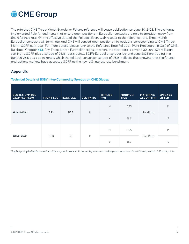<span id="page-6-0"></span>

The rate that CME Three-Month Eurodollar Futures reference will cease publication on June 30, 2023. The exchange implemented Rule Amendments that ensure open positions in Eurodollar contacts are able to transition away from this reference rate. On the effective date of the Fallback Event with respect to the reference rate, Three-Month Eurodollar contracts will terminate, and CME will convert open positions into positions corresponding to CME Three-Month SOFR contracts. For more details, please refer to the Reference Rate Fallback Event Procedure (45236.) of CME Rulebook Chapter **[452](https://www.cmegroup.com/content/dam/cmegroup/rulebook/CME/V/450/452/452.pdf)**. Any Three-Month Eurodollar exposure where the start date is beyond 30 Jun 2023 will start settling to SOFR plus a spread of 26.161 basis points. SOFR-Eurodollar spreads beyond June 2023 are trading in a tight 26-26.5 basis point range, which the fallback conversion spread of 26.161 reflects, thus showing that the futures and options markets have accepted SOFR as the new U.S. interest rate benchmark.

#### **Appendix**

#### **Technical Details of BSBY Inter-Commodity Spreads on CME Globex**

| <b>GLOBEX SYMBOL</b><br><b>EXAMPLEIPSUM</b> | <b>FRONT LEG</b> | <b>BACK LEG</b> | <b>LEG RATIO</b> | <b>IMPLIED</b><br>Y/N | <b>MINIMUM</b><br><b>TICK</b> | <b>MATCHING</b><br><b>ALGORITHM</b> | <b>SPREADS</b><br><b>LISTED</b> |
|---------------------------------------------|------------------|-----------------|------------------|-----------------------|-------------------------------|-------------------------------------|---------------------------------|
| SR3M2-BSBM2*                                | SR <sub>3</sub>  | <b>BSB</b>      | 1:1              | $\mathbb N$           | 0.25                          | Pro-Rata                            | $1^*$                           |
|                                             |                  |                 |                  | Y                     | 0.5                           |                                     | 19                              |
| <b>BSBU2- GEU2*</b>                         | <b>BSB</b>       |                 | <b>GE</b><br>1:1 | $\mathbb N$           | 0.25                          | Pro-Rata                            | $1^*$                           |
|                                             |                  |                 |                  | Y                     | 0.5                           |                                     | 19                              |

*\*Implied pricing is disabled when the minimum price increments in the nearby futures and in the spread are reduced from 0.5 basis points to 0.25 basis points.*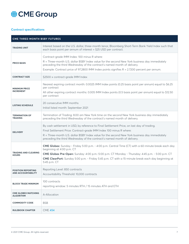#### <span id="page-7-0"></span>**Contract specifications**

| <b>CME THREE-MONTH BSBY FUTURES</b>                    |                                                                                                                                                                                                                                                                                                                                                           |  |
|--------------------------------------------------------|-----------------------------------------------------------------------------------------------------------------------------------------------------------------------------------------------------------------------------------------------------------------------------------------------------------------------------------------------------------|--|
| <b>TRADING UNIT</b>                                    | Interest based on the U.S. dollar, three-month tenor, Bloomberg Short-Term Bank Yield Index such that<br>each basis point per annum of interest = \$25 USD per contract.                                                                                                                                                                                  |  |
| <b>PRICE BASIS</b>                                     | Contract-grade IMM Index: 100 minus R where:<br>R = Three-month U.S. dollar BSBY Index value for the second New York business day immediately<br>preceding the third Wednesday of the contract's named month of delivery.<br>Example: Contract price of 97.2800 IMM Index points signifies R = 2.7200 percent per annum.                                  |  |
| <b>CONTRACT SIZE</b>                                   | \$2500 x contract-grade IMM Index                                                                                                                                                                                                                                                                                                                         |  |
| <b>MINIMUM PRICE</b><br><b>INCREMENT</b>               | Nearest expiring contract month: 0.0025 IMM Index points (0.25 basis point per annum) equal to \$6.25<br>per contract<br>All other expiring contract months: 0.005 IMM Index points (0.5 basis point per annum) equal to \$12.50<br>per contract                                                                                                          |  |
| <b>LISTING SCHEDULE</b>                                | 20 consecutive IMM months<br>Initial listed month: September 2021                                                                                                                                                                                                                                                                                         |  |
| <b>TERMINATION OF</b><br><b>TRADING</b>                | Termination of Trading: 8.00 am New York time on the second New York business day immediately<br>preceding the third Wednesday of the contract's named month of delivery.                                                                                                                                                                                 |  |
| <b>DELIVERY</b>                                        | By cash settlement in USD, by reference to Final Settlement Price, on last day of trading.<br>Final Settlement Price: Contract-grade IMM Index 100 minus R where:<br>R = Three-month U.S. dollar BSBY Index value for the second New York business day immediately<br>preceding the third Wednesday of the contract's named month of delivery.            |  |
| <b>TRADING AND CLEARING</b><br><b>HOURS</b>            | CME Globex: Sunday - Friday 5:00 p.m. - 4:00 p.m. Central Time (CT) with a 60-minute break each day<br>beginning at 4:00 p.m. CT<br>CME Globex Pre-Open: Sunday: 4:00 p.m.-5:00 p.m. CT Monday - Thursday: 4:45 p.m. - 5:00 p.m. CT<br>CME ClearPort: Sunday 5:00 p.m. - Friday 5:45 p.m. CT with a 15-minute break each day beginning at<br>5:45 p.m. CT |  |
| <b>POSITION REPORTING</b><br><b>AND ACCOUNTABILITY</b> | Reporting Level: 850 contracts<br>Accountability Threshold: 10,000 contracts                                                                                                                                                                                                                                                                              |  |
| <b>BLOCK TRADE MINIMUM</b>                             | 100 contracts<br>reporting window: 5 minutes RTH / 15 minutes ATH and ETH                                                                                                                                                                                                                                                                                 |  |
| <b>CME GLOBEX MATCHING</b><br><b>ALGORITHM</b>         | A-Allocation                                                                                                                                                                                                                                                                                                                                              |  |
| <b>COMMODITY CODE</b>                                  | <b>BSB</b>                                                                                                                                                                                                                                                                                                                                                |  |
| <b>RULEBOOK CHAPTER</b>                                | <b>CME 454</b>                                                                                                                                                                                                                                                                                                                                            |  |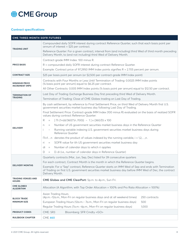#### <span id="page-8-0"></span>**Contract specifications**

| <b>CME THREE-MONTH SOFR FUTURES</b>            |                                                                                                                                                                                                                                  |  |  |  |
|------------------------------------------------|----------------------------------------------------------------------------------------------------------------------------------------------------------------------------------------------------------------------------------|--|--|--|
| <b>TRADING UNIT</b>                            | Compounded daily SOFR interest during contract Reference Quarter, such that each basis point per<br>annum of interest = $$25$ per contract.                                                                                      |  |  |  |
|                                                | Reference Quarter: For a given contract, interval from (and including) third Wed of third month preceding<br>Delivery Month, to (and not including) third Wed of Delivery Month.                                                 |  |  |  |
|                                                | Contract-grade IMM Index: 100 minus R.                                                                                                                                                                                           |  |  |  |
| <b>PRICE BASIS</b>                             | R = compounded daily SOFR interest during contract Reference Quarter.                                                                                                                                                            |  |  |  |
|                                                | Example: Contract price of 97.2950 IMM Index points signifies R = 2.705 percent per annum.                                                                                                                                       |  |  |  |
| <b>CONTRACT SIZE</b>                           | \$25 per basis point per annum (or \$2,500 per contract-grade IMM Index point)                                                                                                                                                   |  |  |  |
| <b>MINIMUM PRICE</b><br><b>INCREMENT (MPI)</b> | Contracts with Four Months or Less Until Termination of Trading: 0.0025 IMM Index points<br>(1/4 basis point per annum) equal to \$6.25 per contract.                                                                            |  |  |  |
|                                                | All Other Contracts: 0.005 IMM Index points (1/2 basis point per annum) equal to \$12.50 per contract.                                                                                                                           |  |  |  |
| <b>TERMINATION OF</b>                          | Last Day of Trading: Exchange Business Day first preceding third Wed of Delivery Month.                                                                                                                                          |  |  |  |
| <b>TRADING</b>                                 | Termination of Trading: Close of CME Globex trading on Last Day of Trading.                                                                                                                                                      |  |  |  |
|                                                | By cash settlement, by reference to Final Settlement Price, on third Wed of Delivery Month first U.S.<br>government securities market business day following Last Day of Trading.                                                |  |  |  |
|                                                | Final Settlement Price: Contract-grade IMM Index (100 minus R) evaluated on the basis of realized SOFR<br>values during contract Reference Quarter:                                                                              |  |  |  |
|                                                | $[\Pi$ i {1+(di/360)*(ri /100)} - 1 ] x (360/D) x 100<br>R<br>$\equiv$                                                                                                                                                           |  |  |  |
|                                                | Number of US government securities market business days in the Reference Quarter<br>$\equiv$<br>n                                                                                                                                |  |  |  |
| <b>DELIVERY</b>                                | Running variable indexing U.S. government securities market business days during<br>$\sim$<br>Reference Quarter                                                                                                                  |  |  |  |
|                                                | $\Box i = 1n$ denotes the product of values indexed by the running variable, $i = 1,2,,n$ .                                                                                                                                      |  |  |  |
|                                                | SOFR value for ith US government securities market business day<br>ri.<br>$\equiv$                                                                                                                                               |  |  |  |
|                                                | Number of calendar days to which ri applies<br>di<br>$\equiv$                                                                                                                                                                    |  |  |  |
|                                                | Σi di (i.e., number of calendar days in Reference Quarter)<br>D<br>$=$                                                                                                                                                           |  |  |  |
|                                                | Quarterly contracts (Mar, Jun, Sep, Dec) listed for 39 consecutive quarters                                                                                                                                                      |  |  |  |
|                                                | For each contract, Contract Month is the month in which the Reference Quarter begins.                                                                                                                                            |  |  |  |
| <b>DELIVERY MONTHS</b>                         | Example: For a "Sep" contract, Reference Quarter starts on IMM Wed of Sep and ends with Termination<br>of Trading on first U.S. government securities market business day before IMM Wed of Dec, the contract<br>Delivery Month. |  |  |  |
| <b>TRADING VENUES AND</b><br><b>HOURS</b>      | CME Globex and CME ClearPort: 5p.m. to 4p.m., Sun-Fri.                                                                                                                                                                           |  |  |  |
| <b>CME GLOBEX</b><br><b>ALGORITHM</b>          | Allocation (A Algorithm, with Top Order Allocation = 100% and Pro Rata Allocation = 100%)                                                                                                                                        |  |  |  |
| <b>BLOCK TRADE</b><br><b>MINIMUM SIZE</b>      | Asian Trading Hours                                                                                                                                                                                                              |  |  |  |
|                                                | (4p.m.-12a.m., Mon-Fri on regular business days and at all weekend times)<br>250 contracts                                                                                                                                       |  |  |  |
|                                                | European Trading Hours (12a.m. - 7a.m., Mon-Fri on regular business days)<br>500                                                                                                                                                 |  |  |  |
|                                                | Regular Trading Hours (7a.m.-4p.m., Mon-Fri on regular business days)<br>1,000                                                                                                                                                   |  |  |  |
| <b>PRODUCT CODES</b>                           | CME: SR3<br>Bloomberg: SFR Cmdty <go></go>                                                                                                                                                                                       |  |  |  |
| <b>RULEBOOK CHAPTER</b>                        | <b>CME 460</b>                                                                                                                                                                                                                   |  |  |  |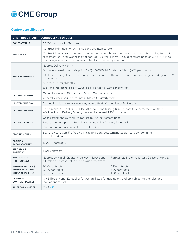#### <span id="page-9-0"></span>**Contract specifications**

| CME THREE-MONTH EURODOLLAR FUTURES                 |                                                                                                                                                                                                                                                                                     |                                              |  |
|----------------------------------------------------|-------------------------------------------------------------------------------------------------------------------------------------------------------------------------------------------------------------------------------------------------------------------------------------|----------------------------------------------|--|
| <b>CONTRACT UNIT</b>                               | \$2,500 x contract IMM Index                                                                                                                                                                                                                                                        |                                              |  |
|                                                    | Contract IMM Index = 100 minus contract interest rate                                                                                                                                                                                                                               |                                              |  |
| <b>PRICE BASIS</b>                                 | Contract interest rate = interest rate per annum on three-month unsecured bank borrowing, for spot<br>settlement on Third Wednesday of contract Delivery Month. (e.g., a contract price of 97.45 IMM Index<br>points signifies a contract interest rate of 2.55 percent per annum.) |                                              |  |
|                                                    | Nearest Delivery Month                                                                                                                                                                                                                                                              |                                              |  |
|                                                    | 1/4 of one interest rate basis point ("bp") = 0.0025 IMM Index points = \$6.25 per contract.                                                                                                                                                                                        |                                              |  |
| <b>PRICE INCREMENTS</b>                            | (On Last Trading Day in an expiring nearest contract, the next nearest contract begins trading in 0.0025<br>increments.)                                                                                                                                                            |                                              |  |
|                                                    | All other Delivery Months                                                                                                                                                                                                                                                           |                                              |  |
|                                                    | $\frac{1}{2}$ of one interest rate bp = 0.005 index points = \$12.50 per contract.                                                                                                                                                                                                  |                                              |  |
| <b>DELIVERY MONTHS</b>                             | Generally, nearest 40 months in March Quarterly cycle.                                                                                                                                                                                                                              |                                              |  |
|                                                    | Generally, nearest 4 months not in March Quarterly cycle.                                                                                                                                                                                                                           |                                              |  |
| <b>LAST TRADING DAY</b>                            | Second London bank business day before third Wednesday of Delivery Month                                                                                                                                                                                                            |                                              |  |
| <b>DELIVERY STANDARD</b>                           | Three-month U.S. dollar ICE LIBOR® set on Last Trading Day, for spot (T+2) settlement on third<br>Wednesday of Delivery Month, rounded to nearest 1/100th of one bp.                                                                                                                |                                              |  |
|                                                    | Cash settlement, by mark-to-market to final settlement price.                                                                                                                                                                                                                       |                                              |  |
| <b>DELIVERY METHOD</b>                             | Final settlement price = Price Basis evaluated at Delivery Standard.                                                                                                                                                                                                                |                                              |  |
|                                                    | Final settlement occurs on Last Trading Day.                                                                                                                                                                                                                                        |                                              |  |
| <b>TRADING HOURS</b>                               | 5p.m. to 4p.m., Sun-Fri. Trading in expiring contracts terminates at 11a.m. London time<br>on Last Trading Day.                                                                                                                                                                     |                                              |  |
| <b>POSITION</b><br><b>ACCOUNTABILITY</b>           | 10,000+ contracts                                                                                                                                                                                                                                                                   |                                              |  |
| <b>REPORTABLE</b><br><b>POSITIONS</b>              | 850+ contracts                                                                                                                                                                                                                                                                      |                                              |  |
| <b>BLOCK TRADE</b><br><b>MINIMUM SIZES</b>         | Nearest 20 March Quarterly Delivery Months and<br>all Delivery Months not in March Quarterly cycle:                                                                                                                                                                                 | Farthest 20 March Quarterly Delivery Months: |  |
| ATH (4P.M. TO 12A.M.)                              | 1,000 contracts                                                                                                                                                                                                                                                                     | 250 contracts                                |  |
| <b>ETH (12A.M. TO 7AM)</b><br>RTH (7A.M. TO 4P.M.) | 2,000 contracts<br>4.000 contracts                                                                                                                                                                                                                                                  | 500 contracts<br>1,000 contracts             |  |
| <b>DESIGNATED</b><br><b>CONTRACT MARKET</b>        | CME Three-Month Eurodollar futures are listed for trading on, and are subject to the rules and<br>regulations of, CME.                                                                                                                                                              |                                              |  |
| <b>RULEBOOK CHAPTER</b>                            | <b>CME 452</b>                                                                                                                                                                                                                                                                      |                                              |  |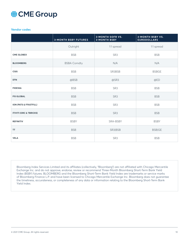#### <span id="page-10-0"></span>**Vendor codes**

|                                    | <b>3-MONTH BSBY FUTURES</b> | <b>3-MONTH SOFR VS.</b><br><b>3-MONTH BSBY</b> | <b>3-MONTH BSBY VS.</b><br><b>EURODOLLARS</b> |
|------------------------------------|-----------------------------|------------------------------------------------|-----------------------------------------------|
|                                    | Outright                    | 1:1 spread                                     | 1:1 spread                                    |
| <b>CME GLOBEX</b>                  | <b>BSB</b>                  | SR <sub>3</sub>                                | <b>BSB</b>                                    |
| <b>BLOOMBERG</b>                   | <b>BSBA Comdty</b>          | N/A                                            | N/A                                           |
| CQG                                | <b>BSB</b>                  | SR3BSB                                         | <b>BSBGE</b>                                  |
| <b>DTN</b>                         | @BSB                        | @SR3                                           | @ED                                           |
| <b>FIDESSA</b>                     | <b>BSB</b>                  | SR <sub>3</sub>                                | <b>BSB</b>                                    |
| <b>FIS GLOBAL</b>                  | <b>BSB</b>                  | SR <sub>3</sub>                                | <b>BSB</b>                                    |
| ION (PATS & FFASTFILL)             | <b>BSB</b>                  | SR3                                            | <b>BSB</b>                                    |
| <b>ITIVITI (ORC &amp; TBRICKS)</b> | <b>BSB</b>                  | SR <sub>3</sub>                                | <b>BSB</b>                                    |
| <b>REFINITIV</b>                   | <b>BSBY</b>                 | SRA-BSBY                                       | <b>BSBY</b>                                   |
| <b>TT</b>                          | <b>BSB</b>                  | SR3 BSB                                        | <b>BSB GE</b>                                 |
| <b>VELA</b>                        | <b>BSB</b>                  | SR <sub>3</sub>                                | <b>BSB</b>                                    |

Bloomberg Index Services Limited and its affiliates (collectively, "Bloomberg") are not affiliated with Chicago Mercantile Exchange Inc. and do not approve, endorse, review or recommend Three-Month Bloomberg Short-Term Bank Yield Index (BSBY) futures. BLOOMBERG and the Bloomberg Short-Term Bank Yield Index are trademarks or service marks of Bloomberg Finance L.P. and have been licensed to Chicago Mercantile Exchange Inc. Bloomberg does not guarantee the timeliness, accurateness, or completeness of any data or information relating to the Bloomberg Short-Term Bank Yield Index.